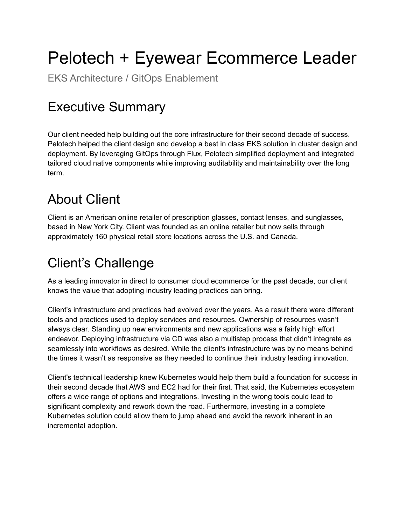# Pelotech + Eyewear Ecommerce Leader

EKS Architecture / GitOps Enablement

## Executive Summary

Our client needed help building out the core infrastructure for their second decade of success. Pelotech helped the client design and develop a best in class EKS solution in cluster design and deployment. By leveraging GitOps through Flux, Pelotech simplified deployment and integrated tailored cloud native components while improving auditability and maintainability over the long term.

#### About Client

Client is an American online retailer of prescription glasses, contact lenses, and sunglasses, based in New York City. Client was founded as an online retailer but now sells through approximately 160 physical retail store locations across the U.S. and Canada.

# Client's Challenge

As a leading innovator in direct to consumer cloud ecommerce for the past decade, our client knows the value that adopting industry leading practices can bring.

Client's infrastructure and practices had evolved over the years. As a result there were different tools and practices used to deploy services and resources. Ownership of resources wasn't always clear. Standing up new environments and new applications was a fairly high effort endeavor. Deploying infrastructure via CD was also a multistep process that didn't integrate as seamlessly into workflows as desired. While the client's infrastructure was by no means behind the times it wasn't as responsive as they needed to continue their industry leading innovation.

Client's technical leadership knew Kubernetes would help them build a foundation for success in their second decade that AWS and EC2 had for their first. That said, the Kubernetes ecosystem offers a wide range of options and integrations. Investing in the wrong tools could lead to significant complexity and rework down the road. Furthermore, investing in a complete Kubernetes solution could allow them to jump ahead and avoid the rework inherent in an incremental adoption.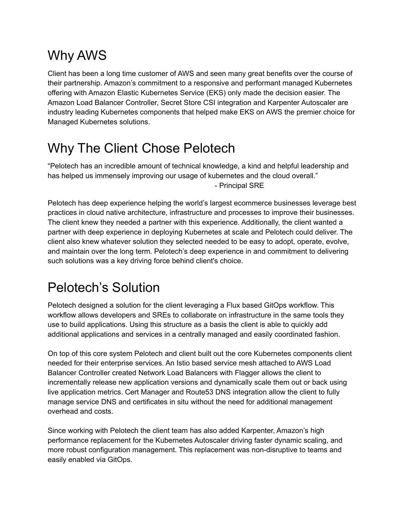# Why AWS

Client has been a long time customer of AWS and seen many great benefits over the course of their partnership. Amazon's commitment to a responsive and performant managed Kubernetes offering with Amazon Elastic Kubernetes Service (EKS) only made the decision easier. The Amazon Load Balancer Controller, Secret Store CSI integration and Karpenter Autoscaler are industry leading Kubernetes components that helped make EKS on AWS the premier choice for Managed Kubernetes solutions.

## Why The Client Chose Pelotech

"Pelotech has an incredible amount of technical knowledge, a kind and helpful leadership and has helped us immensely improving our usage of kubernetes and the cloud overall." - Principal SRE

Pelotech has deep experience helping the world's largest ecommerce businesses leverage best practices in cloud native architecture, infrastructure and processes to improve their businesses. The client knew they needed a partner with this experience. Additionally, the client wanted a partner with deep experience in deploying Kubernetes at scale and Pelotech could deliver. The client also knew whatever solution they selected needed to be easy to adopt, operate, evolve, and maintain over the long term. Pelotech's deep experience in and commitment to delivering such solutions was a key driving force behind client's choice.

## Pelotech's Solution

Pelotech designed a solution for the client leveraging a Flux based GitOps workflow. This workflow allows developers and SREs to collaborate on infrastructure in the same tools they use to build applications. Using this structure as a basis the client is able to quickly add additional applications and services in a centrally managed and easily coordinated fashion.

On top of this core system Pelotech and client built out the core Kubernetes components client needed for their enterprise services. An Istio based service mesh attached to AWS Load Balancer Controller created Network Load Balancers with Flagger allows the client to incrementally release new application versions and dynamically scale them out or back using live application metrics. Cert Manager and Route53 DNS integration allow the client to fully manage service DNS and certificates in situ without the need for additional management overhead and costs.

Since working with Pelotech the client team has also added Karpenter, Amazon's high performance replacement for the Kubernetes Autoscaler driving faster dynamic scaling, and more robust configuration management. This replacement was non-disruptive to teams and easily enabled via GitOps.